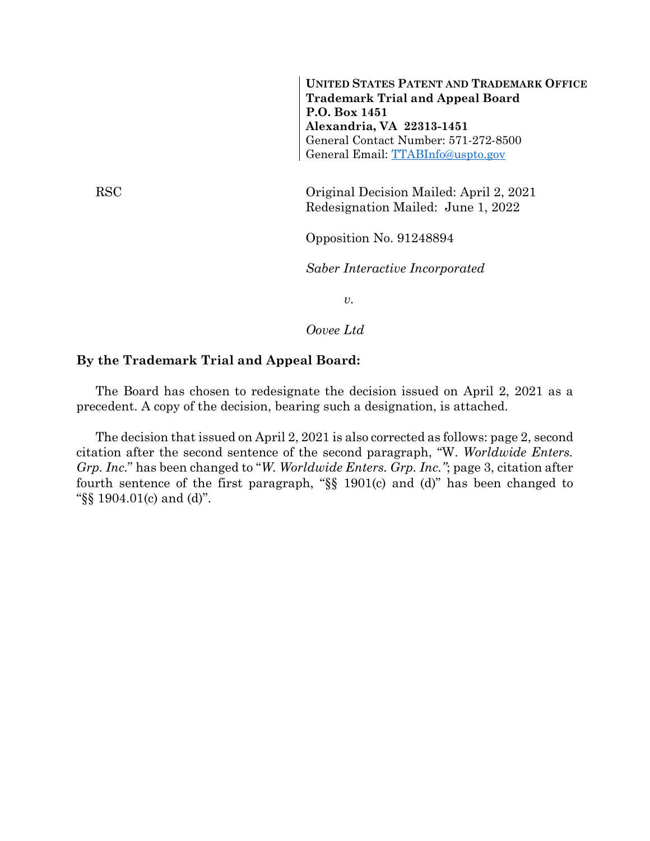RSC Original Decision Mailed: April 2, 2021 Redesignation Mailed: June 1, 2022 Opposition No. 91248894 *Saber Interactive Incorporated* **UNITED STATES PATENT AND TRADEMARK OFFICE Trademark Trial and Appeal Board P.O. Box 1451 Alexandria, VA 22313-1451** General Contact Number: 571-272-8500 General Email: [TTABInfo@uspto.gov](mailto:TTABInfo@uspto.gov)

*v.*

*Oovee Ltd*

## **By the Trademark Trial and Appeal Board:**

The Board has chosen to redesignate the decision issued on April 2, 2021 as a precedent. A copy of the decision, bearing such a designation, is attached.

The decision that issued on April 2, 2021 is also corrected as follows: page 2, second citation after the second sentence of the second paragraph, "W. *Worldwide Enters. Grp. Inc.*" has been changed to "*W. Worldwide Enters. Grp. Inc."*; page 3, citation after fourth sentence of the first paragraph, "§§ 1901(c) and (d)" has been changed to "§§ 1904.01(c) and (d)".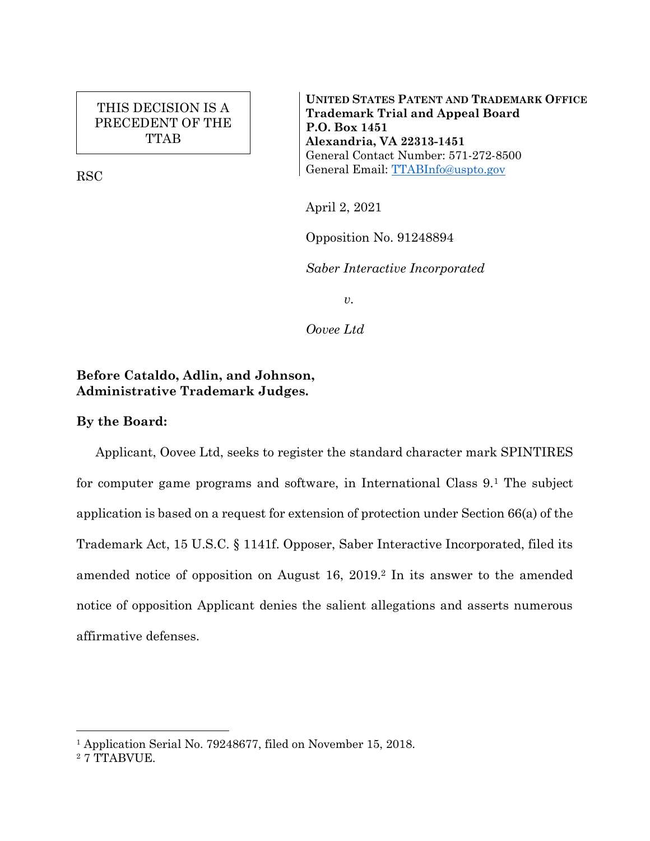## THIS DECISION IS A PRECEDENT OF THE TTAB

RSC

**UNITED STATES PATENT AND TRADEMARK OFFICE Trademark Trial and Appeal Board P.O. Box 1451 Alexandria, VA 22313-1451** General Contact Number: 571-272-8500 General Email: [TTABInfo@uspto.gov](mailto:TTABInfo@uspto.gov)

April 2, 2021

Opposition No. 91248894

*Saber Interactive Incorporated*

*v.*

*Oovee Ltd*

## **Before Cataldo, Adlin, and Johnson, Administrative Trademark Judges.**

## **By the Board:**

Applicant, Oovee Ltd, seeks to register the standard character mark SPINTIRES for computer game programs and software, in International Class 9.<sup>1</sup> The subject application is based on a request for extension of protection under Section 66(a) of the Trademark Act, 15 U.S.C. § 1141f. Opposer, Saber Interactive Incorporated, filed its amended notice of opposition on August 16, 2019.<sup>2</sup> In its answer to the amended notice of opposition Applicant denies the salient allegations and asserts numerous affirmative defenses.

 $\overline{a}$ 

<sup>&</sup>lt;sup>1</sup> Application Serial No. 79248677, filed on November 15, 2018.

<sup>2</sup> 7 TTABVUE.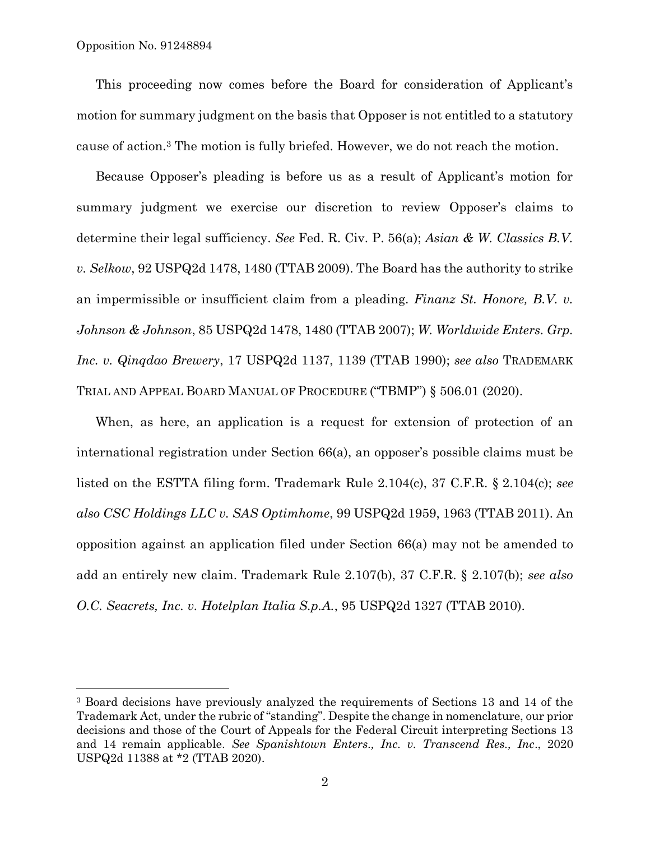l

This proceeding now comes before the Board for consideration of Applicant's motion for summary judgment on the basis that Opposer is not entitled to a statutory cause of action.<sup>3</sup> The motion is fully briefed. However, we do not reach the motion.

Because Opposer's pleading is before us as a result of Applicant's motion for summary judgment we exercise our discretion to review Opposer's claims to determine their legal sufficiency. *See* Fed. R. Civ. P. 56(a); *Asian & W. Classics B.V. v. Selkow*, 92 USPQ2d 1478, 1480 (TTAB 2009). The Board has the authority to strike an impermissible or insufficient claim from a pleading. *Finanz St. Honore, B.V. v. Johnson & Johnson*, 85 USPQ2d 1478, 1480 (TTAB 2007); *W. Worldwide Enters. Grp. Inc. v. Qinqdao Brewery*, 17 USPQ2d 1137, 1139 (TTAB 1990); *see also* TRADEMARK TRIAL AND APPEAL BOARD MANUAL OF PROCEDURE ("TBMP") § 506.01 (2020).

When, as here, an application is a request for extension of protection of an international registration under Section 66(a), an opposer's possible claims must be listed on the ESTTA filing form. Trademark Rule 2.104(c), 37 C.F.R. § 2.104(c); *see also CSC Holdings LLC v. SAS Optimhome*, 99 USPQ2d 1959, 1963 (TTAB 2011). An opposition against an application filed under Section 66(a) may not be amended to add an entirely new claim. Trademark Rule 2.107(b), 37 C.F.R. § 2.107(b); *see also O.C. Seacrets, Inc. v. Hotelplan Italia S.p.A.*, 95 USPQ2d 1327 (TTAB 2010).

<sup>3</sup> Board decisions have previously analyzed the requirements of Sections 13 and 14 of the Trademark Act, under the rubric of "standing". Despite the change in nomenclature, our prior decisions and those of the Court of Appeals for the Federal Circuit interpreting Sections 13 and 14 remain applicable. *See Spanishtown Enters., Inc. v. Transcend Res., Inc*., 2020 USPQ2d 11388 at \*2 (TTAB 2020).